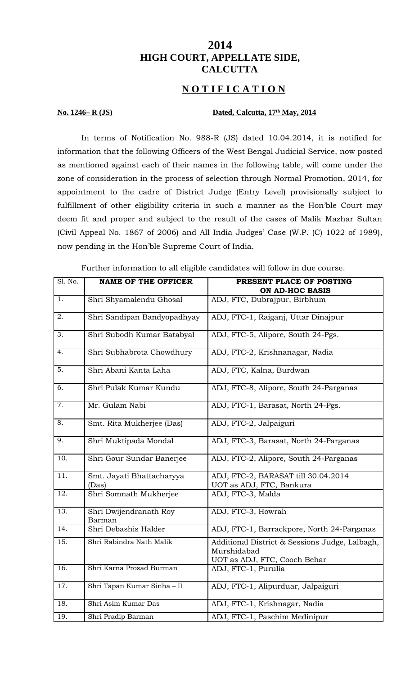# **2014 HIGH COURT, APPELLATE SIDE, CALCUTTA**

## **N O T I F I C A T I O N**

### **No. 1246– R (JS) Dated, Calcutta, 17th May, 2014**

In terms of Notification No. 988-R (JS) dated 10.04.2014, it is notified for information that the following Officers of the West Bengal Judicial Service, now posted as mentioned against each of their names in the following table, will come under the zone of consideration in the process of selection through Normal Promotion, 2014, for appointment to the cadre of District Judge (Entry Level) provisionally subject to fulfillment of other eligibility criteria in such a manner as the Hon'ble Court may deem fit and proper and subject to the result of the cases of Malik Mazhar Sultan (Civil Appeal No. 1867 of 2006) and All India Judges' Case (W.P. (C) 1022 of 1989), now pending in the Hon'ble Supreme Court of India.

| Sl. No. | <b>NAME OF THE OFFICER</b>         | PRESENT PLACE OF POSTING<br><b>ON AD-HOC BASIS</b>                                            |
|---------|------------------------------------|-----------------------------------------------------------------------------------------------|
| 1.      | Shri Shyamalendu Ghosal            | ADJ, FTC, Dubrajpur, Birbhum                                                                  |
| 2.      | Shri Sandipan Bandyopadhyay        | ADJ, FTC-1, Raiganj, Uttar Dinajpur                                                           |
| 3.      | Shri Subodh Kumar Batabyal         | ADJ, FTC-5, Alipore, South 24-Pgs.                                                            |
| 4.      | Shri Subhabrota Chowdhury          | ADJ, FTC-2, Krishnanagar, Nadia                                                               |
| 5.      | Shri Abani Kanta Laha              | ADJ, FTC, Kalna, Burdwan                                                                      |
| 6.      | Shri Pulak Kumar Kundu             | ADJ, FTC-8, Alipore, South 24-Parganas                                                        |
| 7.      | Mr. Gulam Nabi                     | ADJ, FTC-1, Barasat, North 24-Pgs.                                                            |
| 8.      | Smt. Rita Mukherjee (Das)          | ADJ, FTC-2, Jalpaiguri                                                                        |
| 9.      | Shri Muktipada Mondal              | ADJ, FTC-3, Barasat, North 24-Parganas                                                        |
| 10.     | Shri Gour Sundar Banerjee          | ADJ, FTC-2, Alipore, South 24-Parganas                                                        |
| 11.     | Smt. Jayati Bhattacharyya<br>(Das) | ADJ, FTC-2, BARASAT till 30.04.2014<br>UOT as ADJ, FTC, Bankura                               |
| 12.     | Shri Somnath Mukherjee             | ADJ, FTC-3, Malda                                                                             |
| 13.     | Shri Dwijendranath Roy<br>Barman   | ADJ, FTC-3, Howrah                                                                            |
| 14.     | Shri Debashis Halder               | ADJ, FTC-1, Barrackpore, North 24-Parganas                                                    |
| 15.     | Shri Rabindra Nath Malik           | Additional District & Sessions Judge, Lalbagh,<br>Murshidabad<br>UOT as ADJ, FTC, Cooch Behar |
| 16.     | Shri Karna Prosad Burman           | ADJ, FTC-1, Purulia                                                                           |
| 17.     | Shri Tapan Kumar Sinha - II        | ADJ, FTC-1, Alipurduar, Jalpaiguri                                                            |
| 18.     | Shri Asim Kumar Das                | ADJ, FTC-1, Krishnagar, Nadia                                                                 |
| 19.     | Shri Pradip Barman                 | ADJ, FTC-1, Paschim Medinipur                                                                 |

Further information to all eligible candidates will follow in due course.